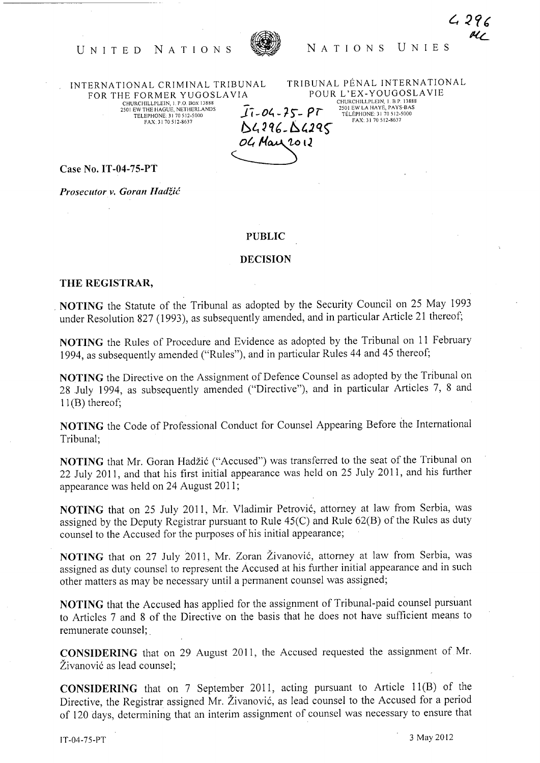

 $4296$ oi UNITED NATIONS NATIONS UNIES

INTERNATIONAL CRIMINAL TRIBUNAL FOR THE FORMER YUGOSLA VIA CHURCHILLPLEIN, l. P.O. BOX 13888 250 I EW THE HAGUE, NETHERLANDS TELEPHONE: 3 I 70512-5000 FAX: 3 I 70512-8637

TRIBUNAL PENAL INTERNATIONAL POUR L'EX- YOUGOSLA VIE  $17 - 04 - 75 - 97$  $0.4296.04295$ CHURCHILLPLEIN, l. B P. !l888 2501 EW LA HAYE, PAYS-BAS TELEPHONE: 31 70512-5000 FAX: 31 70512-8637

Case No. **IT-04-7S-PT** 

*Prosecutor v. Goran* Hadžić

## **PUBLIC**

OG May 2012

## **DECISION**

## **THE REGISTRAR,**

\_ **NOTING** the Statute of the Tribunal as adopted by the Security Council on 25 May 1993 under Resolution 827 (1993), as subsequently amended, and in particular Article 21 thereof;

**NOTING** the Rules of Procedure and Evidence as adopted by the Tribunal on 11 February 1994, as subsequently amended ("Rules"), and in particular Rules 44 and 45 thereof;

**NOTING** the Directive on the Assignment of Defence Counsel as adopted by the Tribunal on 28 July 1994, as subsequently amended ("Directive"), and in particular Articles 7, 8 and  $11(B)$  thereof;

**NOTING** the Code of Professional Conduct for Counsel Appearing Before the International Tribunal;

**NOTING** that Mr. Goran Hadžić ("Accused") was transferred to the seat of the Tribunal on 22 July 2011, and that his first initial appearance was held on 25 July 2011, and his further appearance was held on 24 August 2011;

**NOTING** that on 25 July 2011, Mr. Vladimir Petrović, attorney at law from Serbia, was assigned by the Deputy Registrar pursuant to Rule 45(C) and Rule 62(B) of the Rules as duty counsel to the Accused for the purposes of his initial appearance;

**NOTING** that on 27 July 2011, Mr. Zoran Živanović, attorney at law from Serbia, was assigned as duty counsel to represent the Accused at his further initial appearance and in such other matters as may be necessary until a permanent counsel was assigned;

**NOTING** that the Accused has applied for the assignment of Tribunal-paid counsel pursuant to Articles 7 and 8 of the Directive on the basis that he does not have sufficient means to remunerate counsel; .

**CONSIDERING** that on 29 August 2011, the Accused requested the assignment of Mr. Živanović as lead counsel;

**CONSIDERING** that on 7 September 2011, acting pursuant to Article 11(B) of the Directive, the Registrar assigned Mr. Živanović, as lead counsel to the Accused for a period of 120 days, determining that an interim assignment of counsel was necessary to ensure that

IT-04-75-PT 3 May 2012